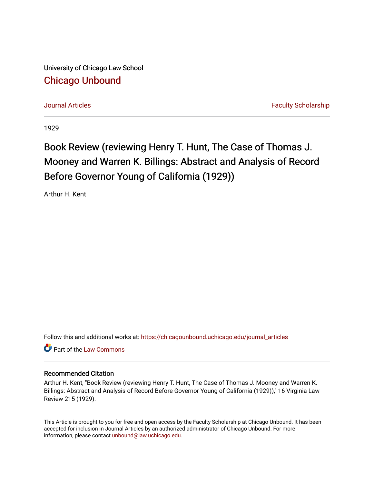University of Chicago Law School [Chicago Unbound](https://chicagounbound.uchicago.edu/)

[Journal Articles](https://chicagounbound.uchicago.edu/journal_articles) Faculty Scholarship

1929

## Book Review (reviewing Henry T. Hunt, The Case of Thomas J. Mooney and Warren K. Billings: Abstract and Analysis of Record Before Governor Young of California (1929))

Arthur H. Kent

Follow this and additional works at: [https://chicagounbound.uchicago.edu/journal\\_articles](https://chicagounbound.uchicago.edu/journal_articles?utm_source=chicagounbound.uchicago.edu%2Fjournal_articles%2F8932&utm_medium=PDF&utm_campaign=PDFCoverPages) 

**C** Part of the [Law Commons](http://network.bepress.com/hgg/discipline/578?utm_source=chicagounbound.uchicago.edu%2Fjournal_articles%2F8932&utm_medium=PDF&utm_campaign=PDFCoverPages)

## Recommended Citation

Arthur H. Kent, "Book Review (reviewing Henry T. Hunt, The Case of Thomas J. Mooney and Warren K. Billings: Abstract and Analysis of Record Before Governor Young of California (1929))," 16 Virginia Law Review 215 (1929).

This Article is brought to you for free and open access by the Faculty Scholarship at Chicago Unbound. It has been accepted for inclusion in Journal Articles by an authorized administrator of Chicago Unbound. For more information, please contact [unbound@law.uchicago.edu](mailto:unbound@law.uchicago.edu).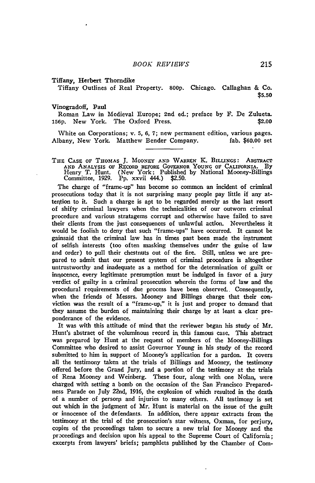Tiffany, Herbert Thorndike

Tiffany Outlines of Real Property. **800p.** Chicago. Callaghan & Co. **\$5.50**

## Vinogradoff, Paul

Roman Law in Medieval Europe; 2nd ed.; preface **by** F. De Zulueta. **156p.** New York. The Oxford Press. \$2.00

White on Corporations; v. **5, 6, 7;** new permanent edition, various pages. Albany, New York. Matthew Bender Company. fab. \$60.00 set

THE CASE OF THOMAS J. MOONEY AND WARREN K. BILLINGS: ABSTRACT **AND ANALYSIS OF RECORD BEFORE** GOVERNOR **YOUNG OF CALIFORNIA. By** Henry T. Hunt. (New York: Published **by** National Mooney-Billings Committee, 1929. **Pp.** xxvii 444.) \$2.50.

The charge of "frame-up" has become so common an incident of criminal prosecutions today that it is not surprising many people pay little if any atteqtion to it. Such a charge is apt to be regarded merely as the last resort of shifty criminal lawyers when the technicalities of our outworn criminal procedure and various stratagems corrupt and otherwise have failed to save their clients from the just consequences of unlawful action. Nevertheless it would be foolish to deny that such "frame-ups" have occurred. It cannot be gainsaid that the criminal law has in times past been made the instrument of selfish interests (too often masking themselves under the guise of law and order) to pull their chestnuts out of the fire. Still, unless we are prepared to admit that our present system of criminal procedure is altogether untrustworthy and inadequate as a method for the determination of guilt or inrgocence, every legitimate presumption must be indulged in favor of a jury verdict of guilty in a criminal prosecution wherein the forms of law and the procedural requirements of due process have been observed.. Consequently, when the friends of Messrs. Mooney and Billings charge that their **cot**viction was the result of a "frame-up," it is just and proper to demand that they assume the burden of maintaining their charge by at least a clear preponderance of the evidence.

It was with this attitude of mind that the reviewer began his study of Mr. Hunt's abstract of the voluminous record in this famous case. This abstract was prepared by Hunt at the request of members of the Mooney-Billings Committee who desired to assist Governor Young in his study of the record submitted to him in support of Mooney's application for a pardon. It covers all the testimony taken at the trials of Billings and Mooney, the testimony offered before the Grand Jury, and a portion of the testimony at the trials of Rena Mooney and Weinberg. These four, along with one Nolan, were charged with setting a bomb on the occasion of the San Francisco Preparedness Parade on July 22nd, 1916, the explosion of which resulted in the death of a number of persons and injuries to many others. **All** testimony is set out which in the judgment of Mr. Hunt is material on the issue of the guilt or innocence of the defendants. In addition, there appear extracts from the testimony at the trial of the prosecution's star witness, Oxman, for perjury, copies of the proceedings taken to secure a new trial for Mooney and the pr3ceedings and decision upon his appeal to the Supreme Court of California; excerpts from lawyers' briefs; pamphlets published by the Chamber of Com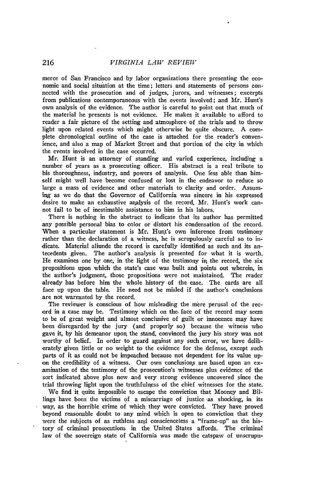merce of San Francisco and by labor organizations there presenting the economic and social situation at the time; letters and statements of persons connected with the prosecution and of judges, jurors, and witnesses; excerpts from publications contemporaneous with the events involved; and Mr. Hunt's own analysis of the evidence. The author is careful to point out that much of the material he presents is not evidence. He makes it available to afford to reader a fair picture of the setting and atmosphere of the trials and to throw light upon related events which might otherwise be quite obscure. **A** complete chronological outline of the case is attached for the reader's convenience, and also a map of Market Street and that portion of the city in which the events involved in the case occurred.

Mr. Hunt is an attorney of standing and varied experience, including a number of years as a prosecuting officer. His abstract is a real tribute to his thoroughness, industry, and powers of analysis. One less able than himself might well have become confused or lost in the endeavor to reduce so large a mass of evidence and other materials to clarity and order. Assuming as we do that the Governor of California was sincere in his expressed desire to make an exhaustive arnalysis of the record, Mr. Hunt's work cannot fail to be of inestimable assistance to him in his labors.

There is nothing in the abstract to indicate that its author has permitted any possible personal bias to color or distort his condensation of the record. When a particular statement is Mr. Hunt's own inference from testimony rather than the declaration of a witness, he is scrupulously careful so to indicate. Material aliunde the record is carefully identified as such and its antecedents given. The author's analysis is presented for what it is worth. He examines one by one, in the light of the testimony **ir,** the record, the six propositions upon which the state's case was built and points out wherein, in the author's judgment, those propositions were not maintained. The reader already has before him the whole history of the case. The cards are all face up upon the table. He need not be misled if the author's conclusions are not warranted by the record.

The reviewer is conscious of how misleading the mere perusal of the record in a case may be. Testimony which on the. face of the record may seem to be of great weight and almost conclusive of guilt or innocence may have been disregarded by the jury (and properly so) because the witness who gave it, by his demeanor upon, the stand, convinced the jury his story was not worthy of belief. In order to guard against any such error, we have deliberately given little or no weight to the evidence for the defense, except such parts of it as could not be impeached because not dependent for its value upon the credibility of a witness. Our own conclusions are based upon an examination of the testimony of the prosecution's witnesses plus evidence of the sort indicated above plus new and very strong evidence uncovered since the trial throwing light upon the truthfulness of the chief witnesses for the state.

We find it quite impossible to escape the conviction that Mooney and Billings have been the victims of a miscarriage of justice as shocking, in its way, as the horrible crime of which they were convicted. They have proved beyond reasonable doubt to any mind which is open to conviction that they were the subjects of as ruthless and conscienceless a "frame-up" as the history of criminal prosecutions in the United States affords. The criminal law of the sovereign state of California was made the catspaw of unscrupu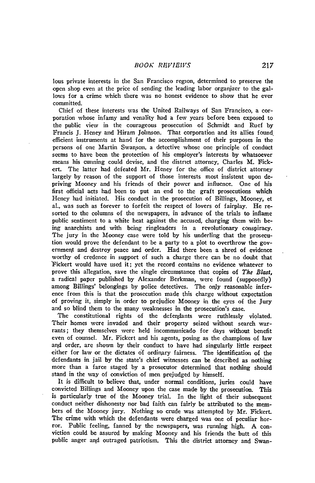lous private interests in the San Francisco region, determined to preserve the open shop even at the price of sending the leading labor organizer to the gallows for a crime which there was no honest evidence to show that he ever committed.

Chief of these interests was the United Railways of San Francisco, a corporation whose infamy and venality had a few years before been exposed to the public view in the courageous prosecution of Schmidt and Ruef **by** Francis **J.** Heney and Hiram Johnson. That corporation and its allies found efficient instruments at hand for the accomplishment of their purposes in the persons of one Martin Swanson, a detective whose one principle of conduct seems to have been the protection of his employer's interests by whatsoever means his cunning could devise, and the district attorney, Charles M. Fickert. The latter had defeated Mr. Heney for the office of district attorney largely **by** reason of the support of those interests most insistent upon depriving Mooney and his friends of their power and influence. One of his first official acts had been to put an end to the graft prosecutions which Heney had initiated. His conduct in the prosecution of Billings, Mooney, et al., was such as forever to forfeit the respect of lovers of fairplay. He resorted to the columns of the newspapers, in advance of the trials to inflame public sentiment to a white heat against the accused, charging them with being anarchists and with being ringleaders in a revolutionary conspiracy. The jury in the Mooney case were told **by** his underling that the prosecution would prove the defendant to be a party to a plot to overthrow the government and destroy peace and order. Had there been a shred of evidence worthy of credence in support of such a charge there can be no doubt that 'Fickert would have used it; yet the record contains no evidence whatever to prove this allegation, save the single circumstance that copies of *The Blast,* a radical paper published **by** Alexander Berkman, were found (supposedly) among Billings' belongings **by** police detectives. The only reasonable inference from this is that the prosecution made this charge without expectation of proving it, simply in order to prejudice Mooney in the eyes of the Jury and so blind them to the many weaknesses in the prosecution's case.

The constitutional rights of the defendants were ruthlessly violated. Their homes were invaded and their property seized without search warrants; they themselves were held incommunicado for days without benefit even of counsel. Mr. Fickert and his agents, posing as the champions of law and order, are shown **by** their conduct to have had singularly little respect either for law or the dictates of ordinary fairness. The identification of the defendants in jail **by** the state's chief witnesses can be described as nothing more than a farce staged **by** a prosecutor determined that nothing should stand in the way of conviction of men prejudged **by** himself.

It is difficult to believe that, under normal conditions, juries could have convicted Billings and Mooney upon the case made by the prosecution. This is particularly true of the Mooney trial. In the light of their subsequent conduct neither dishonesty nor bad faith can fairly be attributed to the members of the Mooney jury. Nothing so crude was attempted **by** Mr. Fickert. The crime with which the defendants were charged was one of peculiar horror. Public feeling, fanned by the newspapers, was running high. A conviction could be assured **by** making Mooney and his friends the butt of this public anger and outraged patriotism. This the district attorney and Swan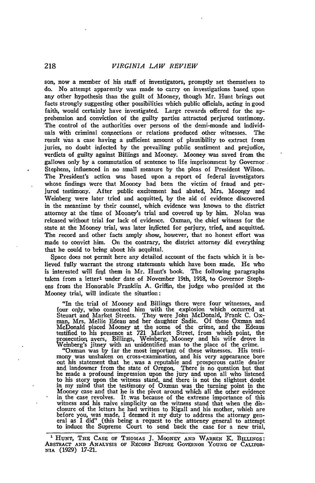son, now a member of his staff of investigators, promptly set themselves to do. No attempt apparently was made to carry on investigations based upon any other hypothesis than the guilt of Mooney, though Mr. Hunt brings out facts strongly suggesting other possibilities which public officials, acting in good faith, would certainly have investigated. Large rewards offered for the apprehension and conviction of the guilty parties attracted perjured testimony. The control of the authorities over persons of the demi-monde and individuals with criminal connections or relations produced other witnesses. The result was a case having a sufficient amount of plausibility to extract from juries, no doubt infected by the prevailing public sentiment and prejudice, verdicts of guilty against Billings and Mooney. Mooney was saved from the gallows only by a commutation of sentence to life imprisonment by Governor Stephens, influenced in no small measure by the pleas of President Wilson. The President's action was based upon a report of federal investigators whose findings were that Mooney had been the victim of fraud and perjured testimony. After public excitement had abated, Mrs. Mooney and Weinberg were later tried and acquitted, by the aid of evidence discovered in the meantime by their counsel, which evidence was known to the district attorney at the time of Mooney's trial and covered up by him. Nolan was released without trial for lack of evidence. Oxman, the chief witness for the state at the Mooney trial, was later inqdicted for perjury, tried, and acquitted. The record and other facts amply show, however, that no honest effort was made to convict him. On the contrary, the district attorney did everything that he could to bring about his acquittal.

Space does not permit here any detailed account of the facts which it is believed fully warrant the strong statements which have been made. He who is interested will find them in Mr. Hunt's book. The following paragraphs taken from a letter' under date of November 19th, 1918, to Governor Stephens from the Honorable Franklin A. Griffin, the judge who presided at the Mooney trial, will indicate the situation:

"In the trial of Mooney and Billings there were four witnesses, and four orly, who connected him with the -explosion which occurred at Steuart and Market Streets. They were John McDonald, Frank C. Ox-<br>man, Mrs. Mellie Edeau and her daughter Sadie. Of these Oxman and<br>McDonald placed Mooney at the scene of the crime, and the Edeaus<br>testified to his presence Weinberg's jitney with an unidentified man to the place of the crime.

"Oxman was by far the most important of these witnesses. His testi-<br>mony was unshaken on cross-examination, and his very appearance bore<br>out his statement that he was a reputable and prosperous cattle dealer<br>and landowner to his story upon the witness stand, and there is not the slightest doubt in my mind that the testimony of Oxman was the turning point in the Mooney case and that he is the pivot around which all the other evidence in the case revolves. It was because of the extreme importance of this in the case revolves. It was because of the extreme importance of this witness and his naive simplicity on the witness stand that when the disclosure of the letters he had written to Rigall and his mother, which are<br>before you, was made, I deemed it my duty to address the attorney gen-<br>eral as I did" (this being a request to the attorney general to attempt<br>to in

**<sup>1</sup>**HUNT, **THE** CASE ov THOMAS **J.** MOONEY **AND** WARRIEN K. **BILLINGS:** ABSTRACT **AND ANALYSIS or RECORD** BrxoR GOVERNOR **YOUNG oF** CALIFOR-NIA (1929) 17-21.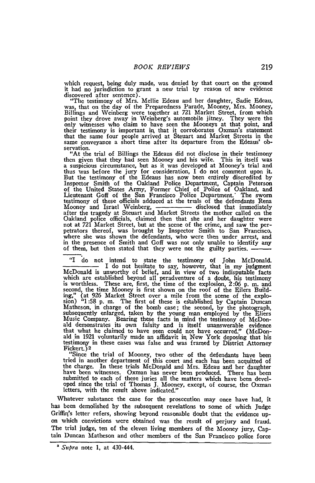which request, being duly made, was denied by that court on the ground it had no jurisdiction to grant a new trial by reason of new evidence discovered after sentence).

"The testimony of Mrs. Mellie Edeau and her daughter, Sadie Edeau, was, that on the day of the Preparedness Parade, Mooney, Mrs. Mooney, Billings and Weinberg were together at 721 Market Street, from which point they drove away in Weinberg's automobile jitney. They were the only witnesses who claim to have seen the Mooneys at that point, and their testimony is important in that it corroborates Oxman's statemen that the same four people arrived at Steuart and Market Streets in the same conveyance a short time after its departure from the Edeaus' observation.

"At the trial of Billings the Edeaus did not disclose in their testimony then given that they had seen Mooney and his wife. This in itself was a suspicious circumstance, but as it was developed at Mooney's trial and thus was before the jury for consideration, I do not comment upon it. But the testimony of the Edeaus has now been entirely discredited **by** Inspector Smith of the Oakland Police Department, Captain Peterson of the United States Army, Former Chief of Police of Oakland, and Lieutenant Goff of the San Francisco Police Department.\* The sworn testimony of these officials adduced at the trials of the defendants Rena testimony of these officials adduced at the trials of the defendants Rena<br>Mooney and Israel Weinberg, \_\_\_\_\_\_\_\_ disclosed that immediately after the tragedy at Steuart and Market Streets the mother called on the Oakland police officials, claimed then that she and her daughter were not at **721** Market Street, but at the scene of the crime, ard saw the per-petrators thereof, was brought by Inspector Smith to San Francisco, where she was shown the defendants, who were then under arrest, and in the presence of Smith and Goff was not only unable to identify any of them, but then stated that they were not the guilty parties.

"I do not intend to state the testimony of John McDonald. I do not hesitate to say, however, that in my judgment McDonald is unworthy of belief, and in view of two indisputable facts which are established beyond all peradventure of a doubt, his testimony is worthless. These are, first, the time of the explosion, 2:06 p. m. and second, the time Mooney is first shown on the roof of the Eilers Building," (at 926 Market Street over a mile from the scene of the explosion) "1:58 p. m. The first of these is established by Captain Duncar Matheson, in charge of the bomb case; the second, **by** the photograph, subsequently enlarged, taken **by** the young man employed **by** the Eliers Music Company. Bearing these facts in mind the testimony of McDon**ald** demonstrates its own falsity and is itself unanswerable evidence that what he claimed to have seen could not have occurred." (McDonald in 1921 voluntarily made an affidavit *in.* New York deposing that his testimony in these cases was false and was framed by District Attorney Fickert.) 2

"Since the trial of Mooney, two other of the defendants have been tried in another department of this court and each has been acquitted of the charge. In these trials McDonald and Mrs. Edeau and her daughter have been witnesses. Oxman has never been produced. There has been submitted to each of these juries all the matters which have been developed since the trial of Thomas J. Mooney, except, of course, the Oxman letters, with the result above indicated.'

Whatever substance the case for the prosecution may once have had, it has been demolished **by** the subsequent revelations to some of which Judge Griffirl's letter refers, showing beyond reasonable doubt that the evidence upon which convictions were obtained was the result of perjury and fraud. The trial judge, ten of the eleven living members of the Mooney jury, Captain Duncan Matheson and other members of the San Francisco police force

*<sup>&#</sup>x27; Supra* note 1, at 430-444.